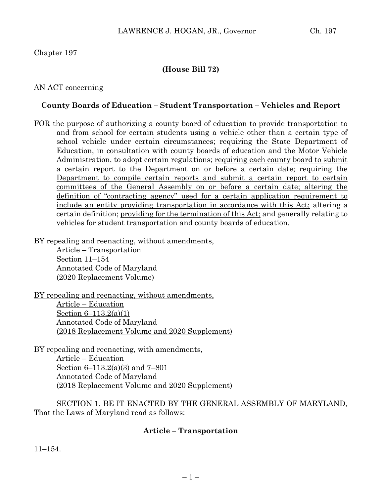### Chapter 197

## **(House Bill 72)**

### AN ACT concerning

### **County Boards of Education – Student Transportation – Vehicles and Report**

FOR the purpose of authorizing a county board of education to provide transportation to and from school for certain students using a vehicle other than a certain type of school vehicle under certain circumstances; requiring the State Department of Education, in consultation with county boards of education and the Motor Vehicle Administration, to adopt certain regulations; requiring each county board to submit a certain report to the Department on or before a certain date; requiring the Department to compile certain reports and submit a certain report to certain committees of the General Assembly on or before a certain date; altering the definition of "contracting agency" used for a certain application requirement to include an entity providing transportation in accordance with this Act; altering a certain definition; providing for the termination of this Act; and generally relating to vehicles for student transportation and county boards of education.

BY repealing and reenacting, without amendments,

Article – Transportation Section 11–154 Annotated Code of Maryland (2020 Replacement Volume)

BY repealing and reenacting, without amendments, Article – Education Section 6–113.2(a)(1) Annotated Code of Maryland (2018 Replacement Volume and 2020 Supplement)

BY repealing and reenacting, with amendments, Article – Education Section 6–113.2(a)(3) and 7–801 Annotated Code of Maryland (2018 Replacement Volume and 2020 Supplement)

SECTION 1. BE IT ENACTED BY THE GENERAL ASSEMBLY OF MARYLAND, That the Laws of Maryland read as follows:

### **Article – Transportation**

11–154.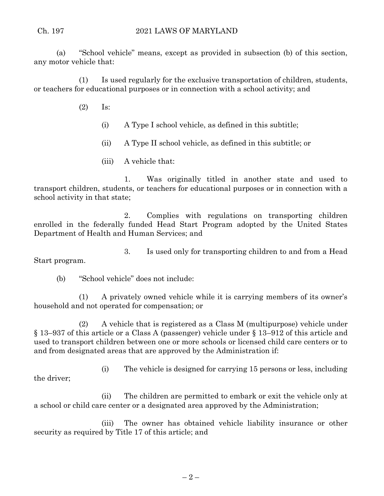(a) "School vehicle" means, except as provided in subsection (b) of this section, any motor vehicle that:

(1) Is used regularly for the exclusive transportation of children, students, or teachers for educational purposes or in connection with a school activity; and

- (2) Is:
	- (i) A Type I school vehicle, as defined in this subtitle;
	- (ii) A Type II school vehicle, as defined in this subtitle; or
	- (iii) A vehicle that:

1. Was originally titled in another state and used to transport children, students, or teachers for educational purposes or in connection with a school activity in that state;

2. Complies with regulations on transporting children enrolled in the federally funded Head Start Program adopted by the United States Department of Health and Human Services; and

3. Is used only for transporting children to and from a Head Start program.

(b) "School vehicle" does not include:

(1) A privately owned vehicle while it is carrying members of its owner's household and not operated for compensation; or

(2) A vehicle that is registered as a Class M (multipurpose) vehicle under § 13–937 of this article or a Class A (passenger) vehicle under § 13–912 of this article and used to transport children between one or more schools or licensed child care centers or to and from designated areas that are approved by the Administration if:

(i) The vehicle is designed for carrying 15 persons or less, including the driver;

(ii) The children are permitted to embark or exit the vehicle only at a school or child care center or a designated area approved by the Administration;

(iii) The owner has obtained vehicle liability insurance or other security as required by Title 17 of this article; and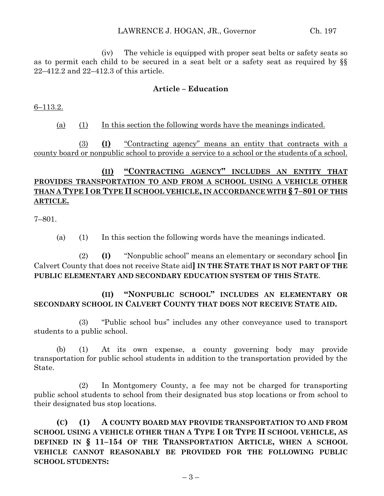(iv) The vehicle is equipped with proper seat belts or safety seats so as to permit each child to be secured in a seat belt or a safety seat as required by §§ 22–412.2 and 22–412.3 of this article.

## **Article – Education**

6–113.2.

(a) (1) In this section the following words have the meanings indicated.

(3) **(I)** "Contracting agency" means an entity that contracts with a county board or nonpublic school to provide a service to a school or the students of a school.

# **(II) "CONTRACTING AGENCY" INCLUDES AN ENTITY THAT PROVIDES TRANSPORTATION TO AND FROM A SCHOOL USING A VEHICLE OTHER THAN A TYPE I OR TYPE II SCHOOL VEHICLE, IN ACCORDANCE WITH § 7–801 OF THIS ARTICLE.**

7–801.

(a) (1) In this section the following words have the meanings indicated.

(2) **(I)** "Nonpublic school" means an elementary or secondary school **[**in Calvert County that does not receive State aid**] IN THE STATE THAT IS NOT PART OF THE PUBLIC ELEMENTARY AND SECONDARY EDUCATION SYSTEM OF THIS STATE**.

**(II) "NONPUBLIC SCHOOL" INCLUDES AN ELEMENTARY OR SECONDARY SCHOOL IN CALVERT COUNTY THAT DOES NOT RECEIVE STATE AID.**

(3) "Public school bus" includes any other conveyance used to transport students to a public school.

(b) (1) At its own expense, a county governing body may provide transportation for public school students in addition to the transportation provided by the State.

(2) In Montgomery County, a fee may not be charged for transporting public school students to school from their designated bus stop locations or from school to their designated bus stop locations.

**(C) (1) A COUNTY BOARD MAY PROVIDE TRANSPORTATION TO AND FROM SCHOOL USING A VEHICLE OTHER THAN A TYPE I OR TYPE II SCHOOL VEHICLE, AS DEFINED IN § 11–154 OF THE TRANSPORTATION ARTICLE, WHEN A SCHOOL VEHICLE CANNOT REASONABLY BE PROVIDED FOR THE FOLLOWING PUBLIC SCHOOL STUDENTS:**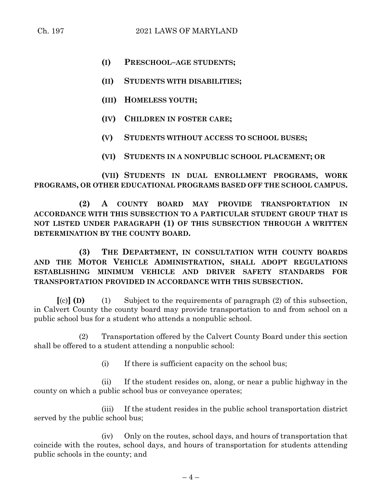- **(I) PRESCHOOL–AGE STUDENTS;**
- **(II) STUDENTS WITH DISABILITIES;**
- **(III) HOMELESS YOUTH;**
- **(IV) CHILDREN IN FOSTER CARE;**
- **(V) STUDENTS WITHOUT ACCESS TO SCHOOL BUSES;**
- **(VI) STUDENTS IN A NONPUBLIC SCHOOL PLACEMENT; OR**

**(VII) STUDENTS IN DUAL ENROLLMENT PROGRAMS, WORK PROGRAMS, OR OTHER EDUCATIONAL PROGRAMS BASED OFF THE SCHOOL CAMPUS.**

**(2) A COUNTY BOARD MAY PROVIDE TRANSPORTATION IN ACCORDANCE WITH THIS SUBSECTION TO A PARTICULAR STUDENT GROUP THAT IS NOT LISTED UNDER PARAGRAPH (1) OF THIS SUBSECTION THROUGH A WRITTEN DETERMINATION BY THE COUNTY BOARD.**

**(3) THE DEPARTMENT, IN CONSULTATION WITH COUNTY BOARDS AND THE MOTOR VEHICLE ADMINISTRATION, SHALL ADOPT REGULATIONS ESTABLISHING MINIMUM VEHICLE AND DRIVER SAFETY STANDARDS FOR TRANSPORTATION PROVIDED IN ACCORDANCE WITH THIS SUBSECTION.**

**[**(c)**] (D)** (1) Subject to the requirements of paragraph (2) of this subsection, in Calvert County the county board may provide transportation to and from school on a public school bus for a student who attends a nonpublic school.

(2) Transportation offered by the Calvert County Board under this section shall be offered to a student attending a nonpublic school:

(i) If there is sufficient capacity on the school bus;

(ii) If the student resides on, along, or near a public highway in the county on which a public school bus or conveyance operates;

(iii) If the student resides in the public school transportation district served by the public school bus;

(iv) Only on the routes, school days, and hours of transportation that coincide with the routes, school days, and hours of transportation for students attending public schools in the county; and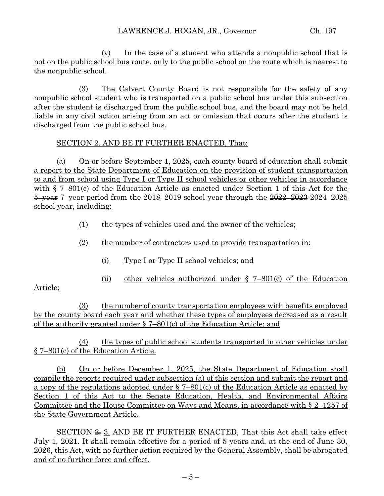(v) In the case of a student who attends a nonpublic school that is not on the public school bus route, only to the public school on the route which is nearest to the nonpublic school.

(3) The Calvert County Board is not responsible for the safety of any nonpublic school student who is transported on a public school bus under this subsection after the student is discharged from the public school bus, and the board may not be held liable in any civil action arising from an act or omission that occurs after the student is discharged from the public school bus.

### SECTION 2. AND BE IT FURTHER ENACTED, That:

(a) On or before September 1, 2025, each county board of education shall submit a report to the State Department of Education on the provision of student transportation to and from school using Type I or Type II school vehicles or other vehicles in accordance with  $\S$  7–801(c) of the Education Article as enacted under Section 1 of this Act for the  $\frac{5 \text{ + year}}{2024}$  7-year period from the 2018–2019 school year through the  $\frac{2022}{2024}$  2024–2025 school year, including:

- (1) the types of vehicles used and the owner of the vehicles;
- (2) the number of contractors used to provide transportation in:
	- (i) Type I or Type II school vehicles; and
	- (ii) other vehicles authorized under § 7–801(c) of the Education

## Article;

(3) the number of county transportation employees with benefits employed by the county board each year and whether these types of employees decreased as a result of the authority granted under § 7–801(c) of the Education Article; and

(4) the types of public school students transported in other vehicles under § 7–801(c) of the Education Article.

(b) On or before December 1, 2025, the State Department of Education shall compile the reports required under subsection (a) of this section and submit the report and a copy of the regulations adopted under § 7–801(c) of the Education Article as enacted by Section 1 of this Act to the Senate Education, Health, and Environmental Affairs Committee and the House Committee on Ways and Means, in accordance with § 2–1257 of the State Government Article.

SECTION  $\cong$  3. AND BE IT FURTHER ENACTED, That this Act shall take effect July 1, 2021. It shall remain effective for a period of 5 years and, at the end of June 30, 2026, this Act, with no further action required by the General Assembly, shall be abrogated and of no further force and effect.